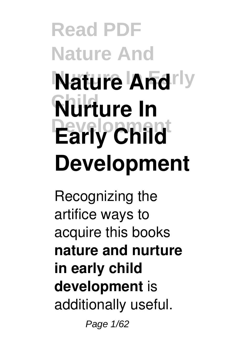# **Read PDF Nature And Nature Andrly Child Nurture In Development Early Child Development**

Recognizing the artifice ways to acquire this books **nature and nurture in early child development** is additionally useful.

Page 1/62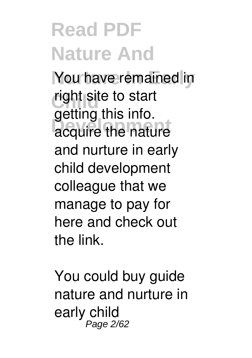You have remained in right site to start acquire the nature getting this info. and nurture in early child development colleague that we manage to pay for here and check out the link.

You could buy guide nature and nurture in early child Page 2/62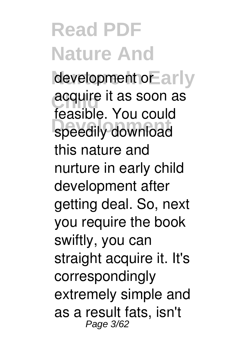development or arly **acquire it as soon as** speedily download feasible. You could this nature and nurture in early child development after getting deal. So, next you require the book swiftly, you can straight acquire it. It's correspondingly extremely simple and as a result fats, isn't Page 3/62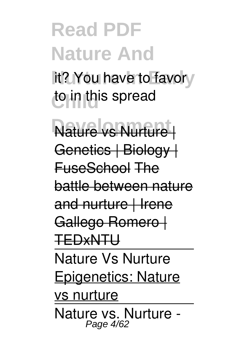it? You have to favory to in this spread

**Nature vs Nurture** Genetics | Biology | FuseSchool The battle between nature and nurture | Irene Gallego Romero | TEDxNTU Nature Vs Nurture Epigenetics: Nature vs nurture Nature vs. Nurture - Page 4/62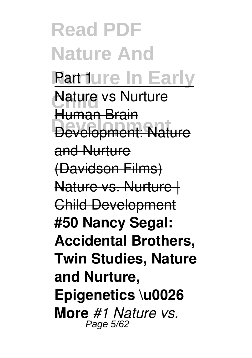**Read PDF Nature And Rart ture In Early Nature vs Nurture Development** Development: Nature Human Brain and Nurture (Davidson Films) Nature vs. Nurture | Child Development **#50 Nancy Segal: Accidental Brothers, Twin Studies, Nature and Nurture, Epigenetics \u0026 More** *#1 Nature vs.* Page 5/62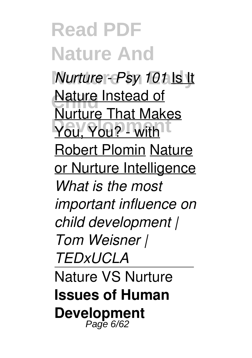**Read PDF Nature And** *Nurture - Psy 101* Is It **Nature Instead of You**, You? - with Nurture That Makes Robert Plomin Nature or Nurture Intelligence *What is the most important influence on child development | Tom Weisner | TEDxUCLA* Nature VS Nurture **Issues of Human Development** Page 6/62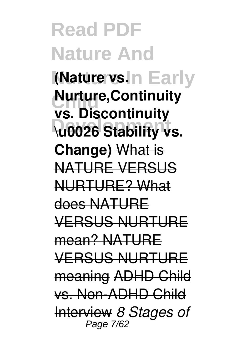**Read PDF Nature And (Nature vs. n Early Nurture,Continuity Development \u0026 Stability vs. vs. Discontinuity Change)** What is NATURE VERSUS NURTURE? What does NATURE VERSUS NURTURE mean? NATURE VERSUS NURTURE meaning ADHD Child vs. Non-ADHD Child Interview *8 Stages of* Page 7/62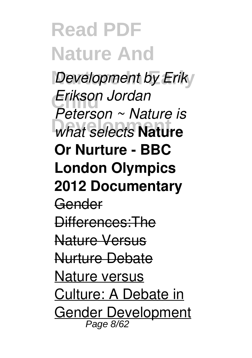**Development by Erik Child** *Erikson Jordan What selects* **Nature** *Peterson ~ Nature is* **Or Nurture - BBC London Olympics 2012 Documentary** Gender Differences:The Nature Versus Nurture Debate Nature versus Culture: A Debate in Gender Development Page 8/62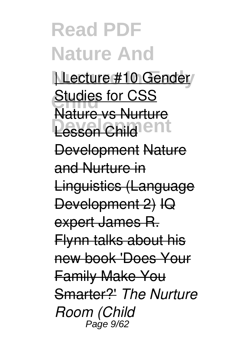| Lecture #10 Gender **Studies for CSS Lesson Child**<sup>Ient</sup> Nature vs Nurture Development Nature and Nurture in Linguistics (Language Development 2) IQ expert James R. Flynn talks about his new book 'Does Your Family Make You Smarter?' *The Nurture Room (Child* Page 9/62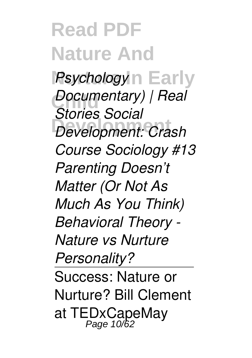**Read PDF Nature And Psychology**<sup>n</sup> Early *Documentary)* | Real **Development** *Development: Crash Stories Social Course Sociology #13 Parenting Doesn't Matter (Or Not As Much As You Think) Behavioral Theory - Nature vs Nurture Personality?* Success: Nature or Nurture? Bill Clement at TEDxCapeMay Page 10/62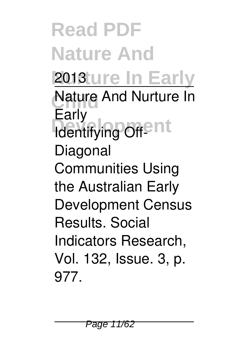**Read PDF Nature And 2013**ture In Early **Nature And Nurture In Lany**<br>Identifying Off-Early Diagonal Communities Using the Australian Early Development Census Results. Social Indicators Research, Vol. 132, Issue. 3, p. 977.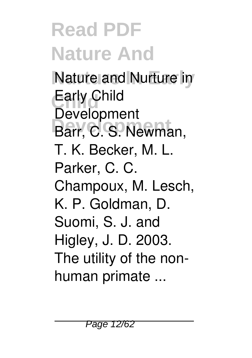**Nature and Nurture in Child** Early Child **Development** Barr, C. S. Newman, **Development** T. K. Becker, M. L. Parker, C. C. Champoux, M. Lesch, K. P. Goldman, D. Suomi, S. J. and Higley, J. D. 2003. The utility of the nonhuman primate ...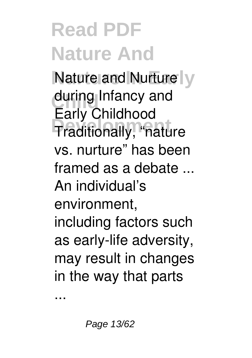**Nature and Nurture V** during Infancy and **Development** Traditionally, "nature Early Childhood vs. nurture" has been framed as a debate ... An individual's environment, including factors such as early-life adversity, may result in changes in the way that parts

...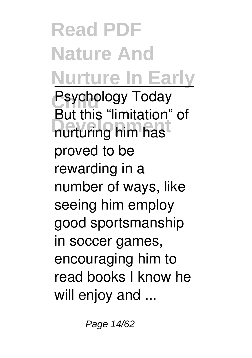**Read PDF Nature And Nurture In Early Psychology Today Development** nurturing him has But this "limitation" of proved to be rewarding in a number of ways, like seeing him employ good sportsmanship in soccer games, encouraging him to read books I know he will enjoy and ...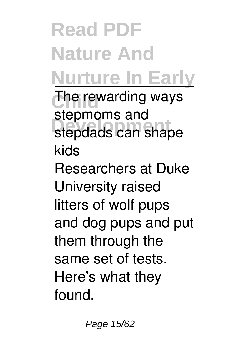**Read PDF Nature And Nurture In Early** The rewarding ways **Development** stepdads can shape stepmoms and kids Researchers at Duke University raised litters of wolf pups and dog pups and put them through the same set of tests. Here's what they found.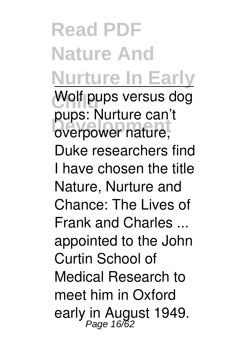#### **Read PDF Nature And Nurture In Early** Wolf pups versus dog paps. Nature can pups: Nurture can't Duke researchers find I have chosen the title Nature, Nurture and Chance: The Lives of Frank and Charles ... appointed to the John Curtin School of Medical Research to meet him in Oxford early in August 1949.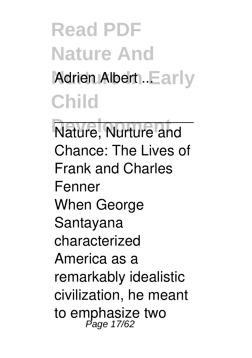## **Read PDF Nature And** Adrien Albert ..Early **Child**

**Nature, Nurture and** Chance: The Lives of Frank and Charles Fenner When George Santayana characterized America as a remarkably idealistic civilization, he meant to emphasize two Page 17/62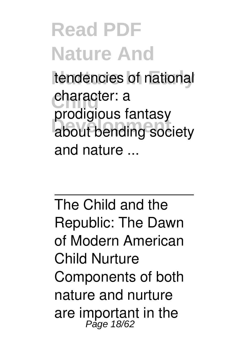tendencies of national character: a **Development** about bending society prodigious fantasy and nature ...

The Child and the Republic: The Dawn of Modern American Child Nurture Components of both nature and nurture are important in the Page 18/62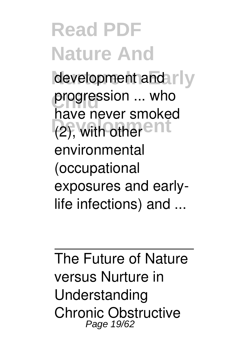development and rly progression ... who (2), with other <sup>ent</sup> have never smoked environmental (occupational exposures and earlylife infections) and ...

The Future of Nature versus Nurture in Understanding Chronic Obstructive Page 19/62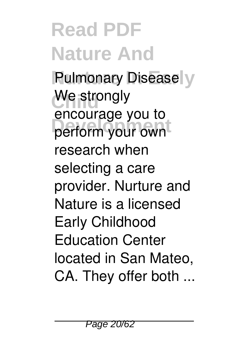**Pulmonary Disease** We strongly **Development** perform your own encourage you to research when selecting a care provider. Nurture and Nature is a licensed Early Childhood Education Center located in San Mateo, CA. They offer both ...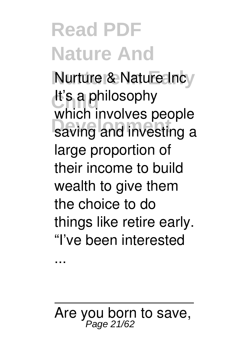**Nurture & Nature Incy** It's a philosophy **BEDET INTERNATION** which involves people large proportion of their income to build wealth to give them the choice to do things like retire early. "I've been interested

...

Are you born to save,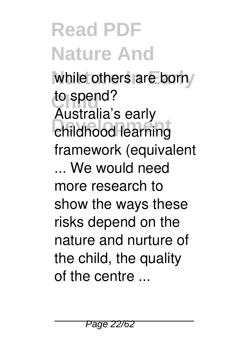while others are born to spend? **Development** childhood learning Australia's early framework (equivalent ... We would need more research to show the ways these risks depend on the nature and nurture of the child, the quality of the centre ...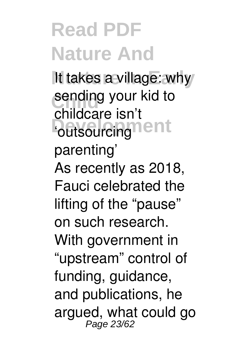It takes a village: why sending your kid to **Poutsourcing Tent** childcare isn't parenting' As recently as 2018, Fauci celebrated the lifting of the "pause" on such research. With government in "upstream" control of funding, guidance, and publications, he argued, what could go Page 23/62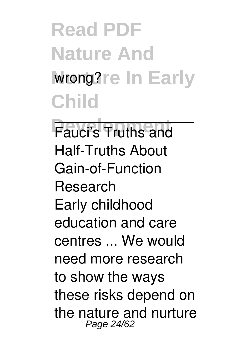**Read PDF Nature And** wrong?re In Early **Child**

**Fauci's Truths and** Half-Truths About Gain-of-Function Research Early childhood education and care centres ... We would need more research to show the ways these risks depend on the nature and nurture Page 24/62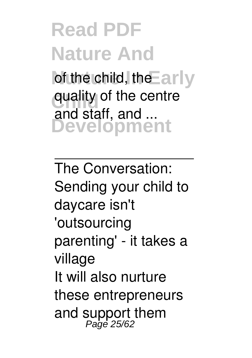of the child, the Early quality of the centre **Development** and staff, and ...

The Conversation: Sending your child to daycare isn't 'outsourcing parenting' - it takes a village It will also nurture these entrepreneurs and support them Page 25/62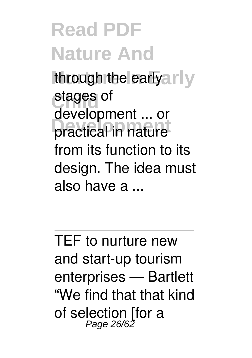through the earlyarly stages of practical in nature development ... or from its function to its design. The idea must also have a ...

TEF to nurture new and start-up tourism enterprises — Bartlett "We find that that kind of selection [for a Page 26/62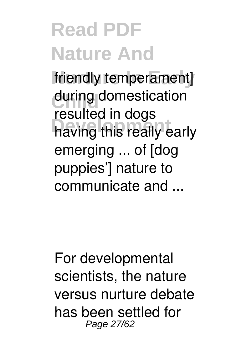friendly temperament] during domestication having this really early resulted in dogs emerging ... of [dog puppies'] nature to communicate and ...

For developmental scientists, the nature versus nurture debate has been settled for Page 27/62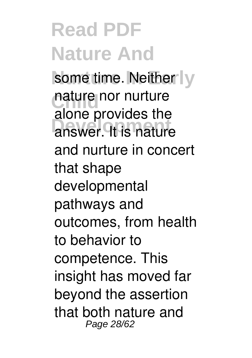some time. Neither I<sub>V</sub> nature nor nurture answer. It is nature alone provides the and nurture in concert that shape developmental pathways and outcomes, from health to behavior to competence. This insight has moved far beyond the assertion that both nature and Page 28/62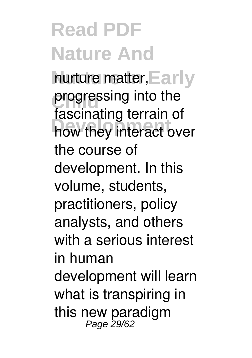nurture matter, Early progressing into the how they interact over fascinating terrain of the course of development. In this volume, students, practitioners, policy analysts, and others with a serious interest in human development will learn what is transpiring in this new paradigm<br>Page 29/62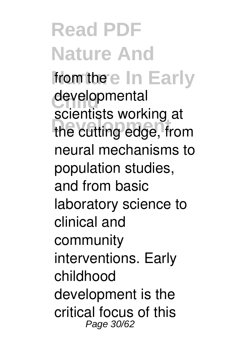**Read PDF Nature And** from the eln Early developmental **Development** the cutting edge, from scientists working at neural mechanisms to population studies, and from basic laboratory science to clinical and community interventions. Early childhood development is the critical focus of this Page 30/62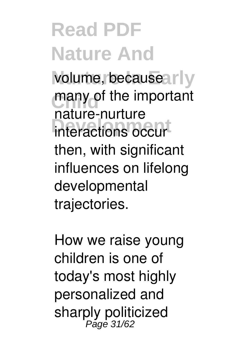volume, because arly many of the important **Interactions occur** nature-nurture then, with significant influences on lifelong developmental trajectories.

How we raise young children is one of today's most highly personalized and sharply politicized Page 31/62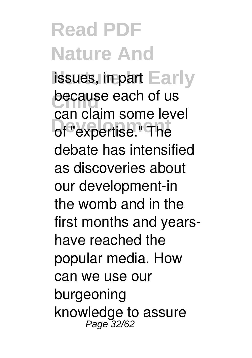issues, in part Early **because each of us** of "expertise." The can claim some level debate has intensified as discoveries about our development-in the womb and in the first months and yearshave reached the popular media. How can we use our burgeoning knowledge to assure Page 32/62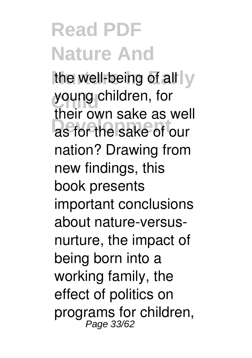the well-being of all y young children, for as for the sake of our their own sake as well nation? Drawing from new findings, this book presents important conclusions about nature-versusnurture, the impact of being born into a working family, the effect of politics on programs for children, Page 33/62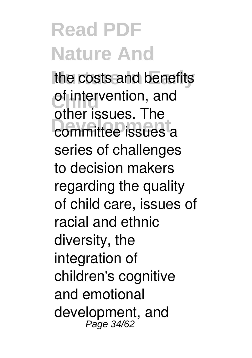the costs and benefits of intervention, and committee issues a other issues. The series of challenges to decision makers regarding the quality of child care, issues of racial and ethnic diversity, the integration of children's cognitive and emotional development, and Page 34/62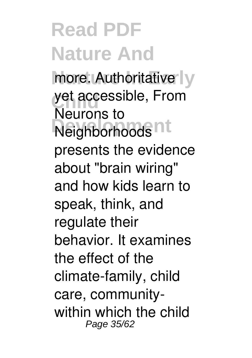more. Authoritative<sup>l</sup>y yet accessible, From **Neighborhoods** Neurons to presents the evidence about "brain wiring" and how kids learn to speak, think, and regulate their behavior. It examines the effect of the climate-family, child care, communitywithin which the child Page 35/62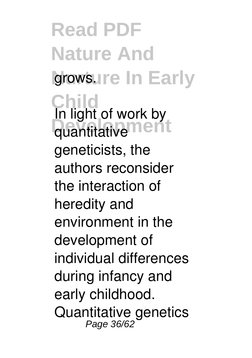**Read PDF Nature And** growsure In Early **Child** quantitative<sup>ment</sup> In light of work by geneticists, the authors reconsider the interaction of heredity and environment in the development of individual differences during infancy and early childhood. Quantitative genetics Page 36/62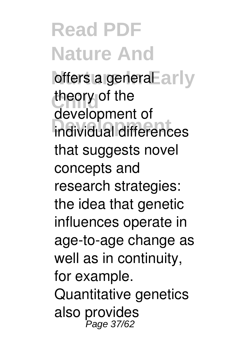offers a generaEarly theory of the **Development** individual differences development of that suggests novel concepts and research strategies: the idea that genetic influences operate in age-to-age change as well as in continuity, for example. Quantitative genetics also provides Page 37/62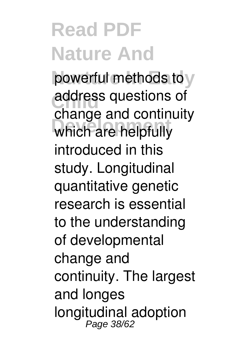powerful methods to y address questions of **Development** which are helpfully change and continuity introduced in this study. Longitudinal quantitative genetic research is essential to the understanding of developmental change and continuity. The largest and longes longitudinal adoption Page 38/62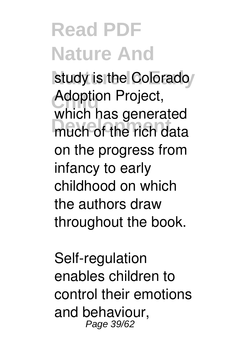study is the Colorado Adoption Project, much of the rich data which has generated on the progress from infancy to early childhood on which the authors draw throughout the book.

Self-regulation enables children to control their emotions and behaviour, Page 39/62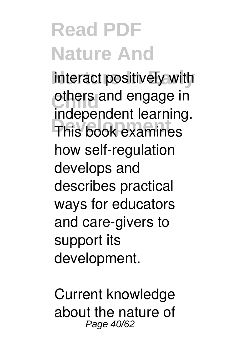interact positively with others and engage in **Development** This book examines independent learning. how self-regulation develops and describes practical ways for educators and care-givers to support its development.

Current knowledge about the nature of Page 40/62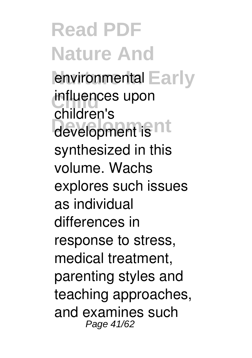environmental Early influences upon development is **nt** children's synthesized in this volume. Wachs explores such issues as individual differences in response to stress, medical treatment, parenting styles and teaching approaches, and examines such Page 41/62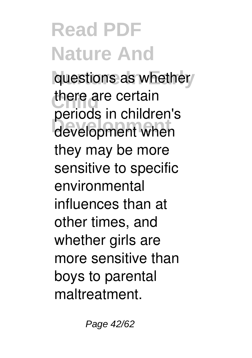questions as whether there are certain **Development** development when periods in children's they may be more sensitive to specific environmental influences than at other times, and whether girls are more sensitive than boys to parental maltreatment.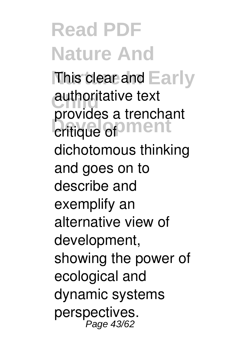This clear and Early authoritative text **Development** critique of provides a trenchant dichotomous thinking and goes on to describe and exemplify an alternative view of development, showing the power of ecological and dynamic systems perspectives. Page 43/62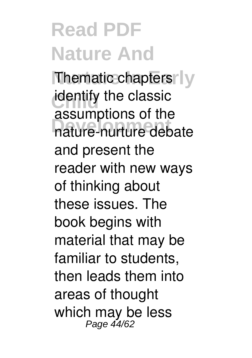**Thematic chapters | y identify the classic Development** nature-nurture debate assumptions of the and present the reader with new ways of thinking about these issues. The book begins with material that may be familiar to students, then leads them into areas of thought which may be less<br> $Page\,44/62$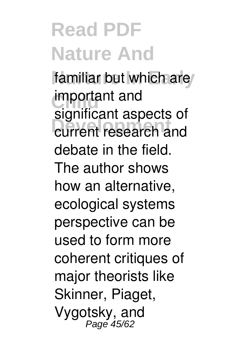familiar but which are **important** and **Development** current research and significant aspects of debate in the field. The author shows how an alternative, ecological systems perspective can be used to form more coherent critiques of major theorists like Skinner, Piaget, Vygotsky, and Page 45/62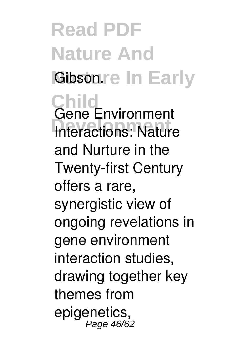**Read PDF Nature And Gibsonre In Early Child Interactions: Nature** Gene Environment and Nurture in the Twenty-first Century offers a rare, synergistic view of ongoing revelations in gene environment interaction studies, drawing together key themes from epigenetics, Page 46/62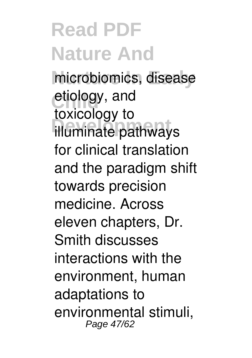microbiomics, disease etiology, and **Development** illuminate pathways toxicology to for clinical translation and the paradigm shift towards precision medicine. Across eleven chapters, Dr. Smith discusses interactions with the environment, human adaptations to environmental stimuli, Page 47/62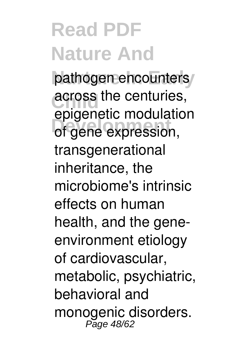pathogen encounters **across the centuries, Development** of gene expression, epigenetic modulation transgenerational inheritance, the microbiome's intrinsic effects on human health, and the geneenvironment etiology of cardiovascular, metabolic, psychiatric, behavioral and monogenic disorders. Page 48/62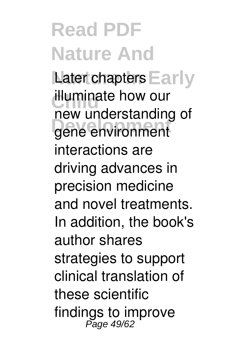Later chapters Early **illuminate how our Development** gene environment new understanding of interactions are driving advances in precision medicine and novel treatments. In addition, the book's author shares strategies to support clinical translation of these scientific findings to improve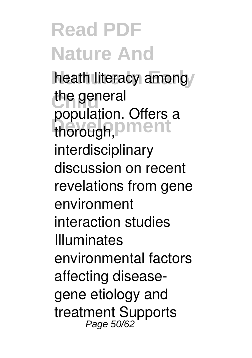heath literacy among/ the general thorough, **Diment** population. Offers a interdisciplinary discussion on recent revelations from gene environment interaction studies Illuminates environmental factors affecting diseasegene etiology and treatment Supports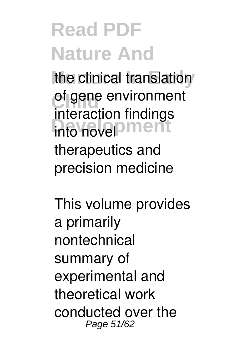the clinical translation of gene environment into novel **ment** interaction findings therapeutics and precision medicine

This volume provides a primarily nontechnical summary of experimental and theoretical work conducted over the Page 51/62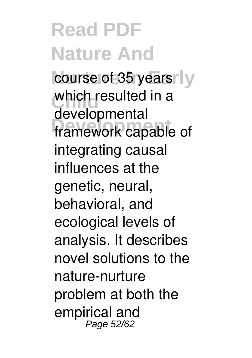course of 35 years<sup>N</sup>y which resulted in a **Development** framework capable of developmental integrating causal influences at the genetic, neural, behavioral, and ecological levels of analysis. It describes novel solutions to the nature-nurture problem at both the empirical and Page 52/62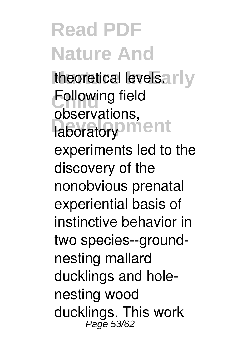theoretical levels.arly **Following field** laboratory<sup>3</sup><sub>ment</sub> observations,<br>Iaboratoria Ment experiments led to the discovery of the nonobvious prenatal experiential basis of instinctive behavior in two species--groundnesting mallard ducklings and holenesting wood ducklings. This work<br><sup>Page 53/62</sup>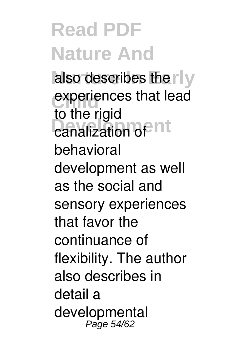also describes the rly experiences that lead canalization of nt to the rigid behavioral development as well as the social and sensory experiences that favor the continuance of flexibility. The author also describes in detail a developmental Page 54/62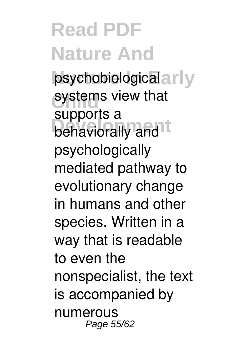psychobiological arly systems view that behaviorally and t supports a psychologically mediated pathway to evolutionary change in humans and other species. Written in a way that is readable to even the nonspecialist, the text is accompanied by numerous Page 55/62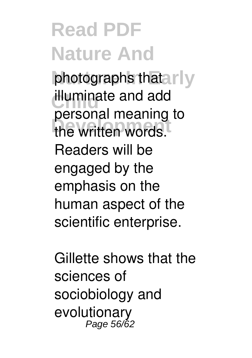photographs thatarly **illuminate and add Development** the written words. personal meaning to Readers will be engaged by the emphasis on the human aspect of the scientific enterprise.

Gillette shows that the sciences of sociobiology and evolutionary Page 56/62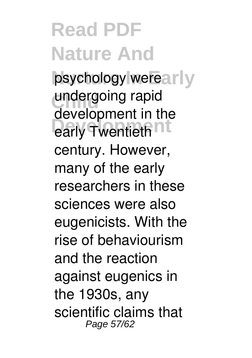psychology werearly undergoing rapid early Twentieth<sup>nt</sup> development in the century. However, many of the early researchers in these sciences were also eugenicists. With the rise of behaviourism and the reaction against eugenics in the 1930s, any scientific claims that Page 57/62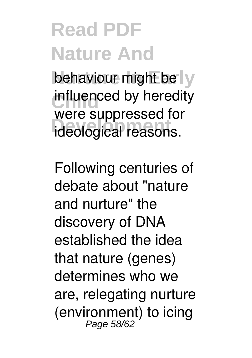behaviour might be ly influenced by heredity **Development** ideological reasons. were suppressed for

Following centuries of debate about "nature and nurture" the discovery of DNA established the idea that nature (genes) determines who we are, relegating nurture (environment) to icing Page 58/62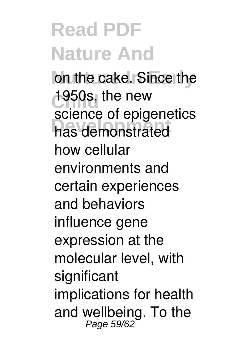on the cake. Since the 1950s, the new **Development** has demonstrated science of epigenetics how cellular environments and certain experiences and behaviors influence gene expression at the molecular level, with significant implications for health and wellbeing. To the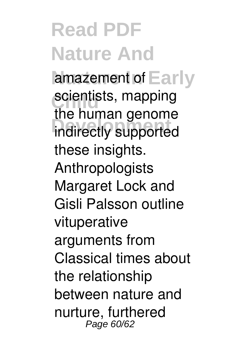amazement of Early scientists, mapping indirectly supported the human genome these insights. Anthropologists Margaret Lock and Gisli Palsson outline vituperative arguments from Classical times about the relationship between nature and nurture, furthered Page 60/62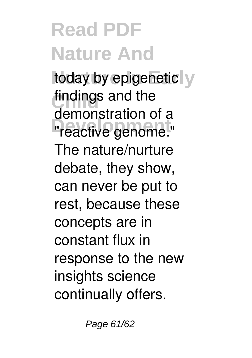today by epigenetic y findings and the **The Summing Service Service Service Service Service Service Service Service Service Service Service Service S** demonstration of a The nature/nurture debate, they show, can never be put to rest, because these concepts are in constant flux in response to the new insights science continually offers.